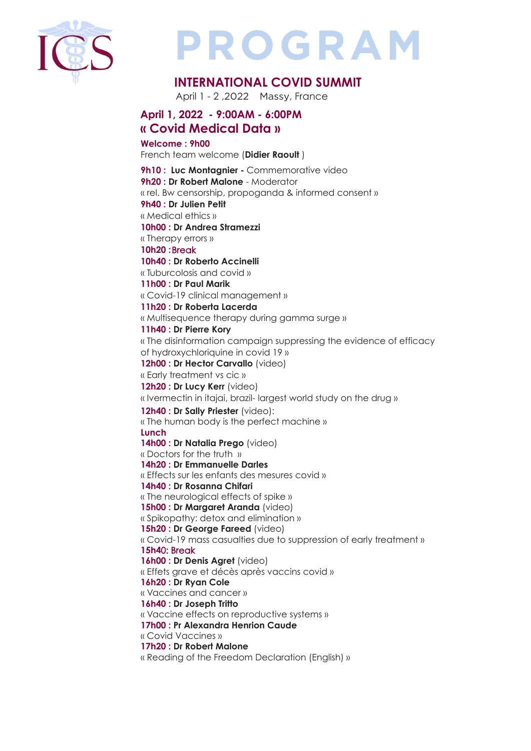

# **PROGRAM**

### **INTERNATIONAL COVID SUMMIT**

April 1 - 2 ,2022 Massy, France

#### **April 1, 2022 - 9:00AM - 6:00PM « Covid Medical Data »**

**Welcome : 9h00**

French team welcome (**Didier Raoult** )

**9h10 : Luc Montagnier - Commemorative video 9h20 : Dr Robert Malone** - Moderator « rel. Bw censorship, propoganda & informed consent » **9h40 : Dr Julien Petit** « Medical ethics » **10h00 : Dr Andrea Stramezzi**  « Therapy errors » **10h20 :** Break **10h40 : Dr Roberto Accinelli**  « Tuburcolosis and covid » **11h00 : Dr Paul Marik**  « Covid-19 clinical management » **11h20 : Dr Roberta Lacerda** « Multisequence therapy during gamma surge » **11h40 : Dr Pierre Kory**  « The disinformation campaign suppressing the evidence of efficacy of hydroxychloriquine in covid 19 » **12h00 : Dr Hector Carvallo** (video) « Early treatment vs cic » **12h20 : Dr Lucy Kerr** (video) « Ivermectin in itajai, brazil- largest world study on the drug » **12h40 : Dr Sally Priester** (video): « The human body is the perfect machine » **Lunch 14h00 : Dr Natalia Prego** (video) « Doctors for the truth » **14h20 : Dr Emmanuelle Darles**  « Effects sur les enfants des mesures covid » **14h40 : Dr Rosanna Chifari**  « The neurological effects of spike » **15h00 : Dr Margaret Aranda** (video) « Spikopathy: detox and elimination » **15h20 : Dr George Fareed** (video) « Covid-19 mass casualties due to suppression of early treatment » **15h4**0: Break **16h00 : Dr Denis Agret** (video) « Effets grave et décès après vaccins covid » **16h20 : Dr Ryan Cole**  « Vaccines and cancer » **16h40 : Dr Joseph Tritto**  « Vaccine effects on reproductive systems » **17h00 : Pr Alexandra Henrion Caude** « Covid Vaccines » **17h20 : Dr Robert Malone** « Reading of the Freedom Declaration (English) »